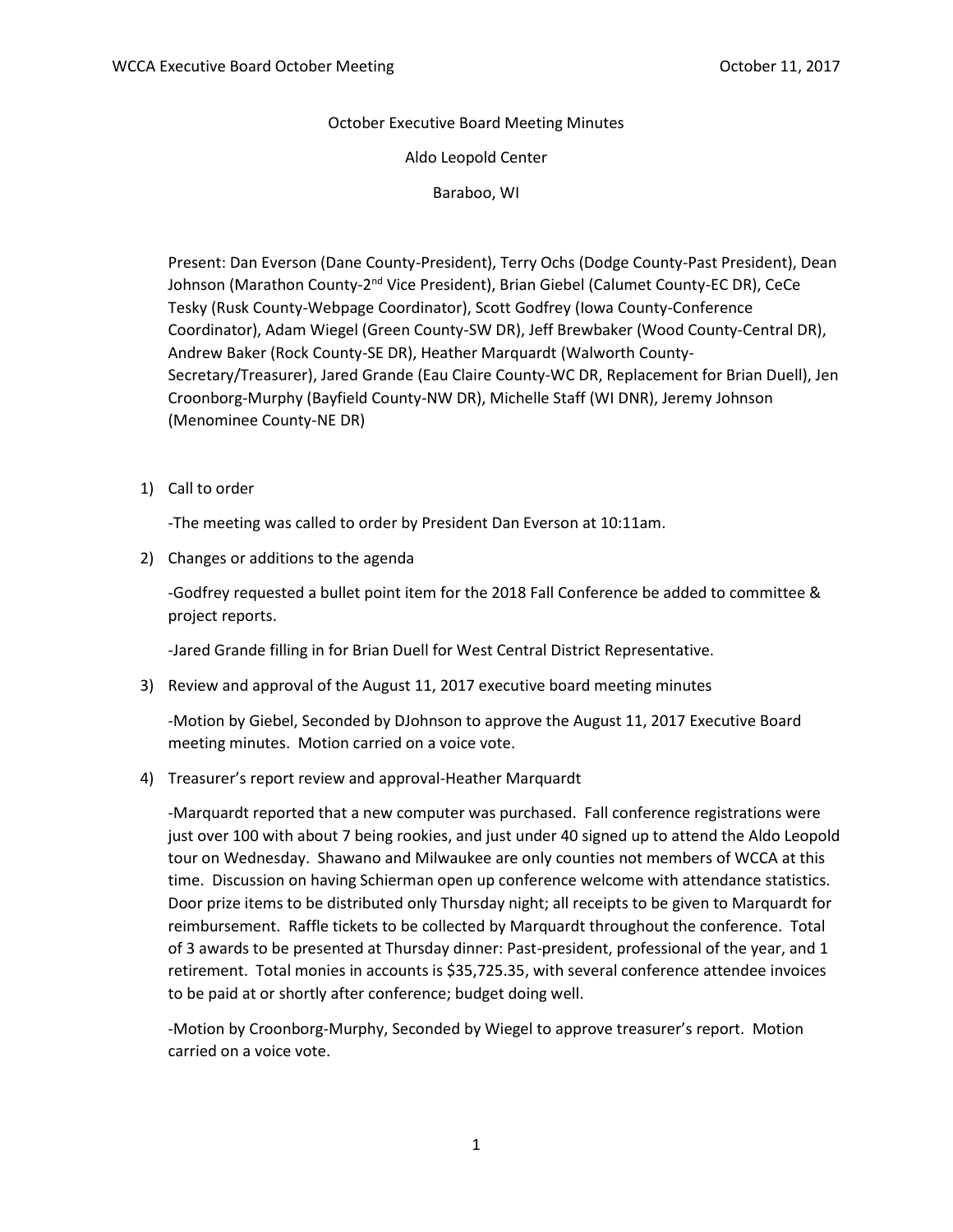October Executive Board Meeting Minutes

Aldo Leopold Center

Baraboo, WI

Present: Dan Everson (Dane County-President), Terry Ochs (Dodge County-Past President), Dean Johnson (Marathon County-2<sup>nd</sup> Vice President), Brian Giebel (Calumet County-EC DR), CeCe Tesky (Rusk County-Webpage Coordinator), Scott Godfrey (Iowa County-Conference Coordinator), Adam Wiegel (Green County-SW DR), Jeff Brewbaker (Wood County-Central DR), Andrew Baker (Rock County-SE DR), Heather Marquardt (Walworth County-Secretary/Treasurer), Jared Grande (Eau Claire County-WC DR, Replacement for Brian Duell), Jen Croonborg-Murphy (Bayfield County-NW DR), Michelle Staff (WI DNR), Jeremy Johnson (Menominee County-NE DR)

1) Call to order

-The meeting was called to order by President Dan Everson at 10:11am.

2) Changes or additions to the agenda

-Godfrey requested a bullet point item for the 2018 Fall Conference be added to committee & project reports.

-Jared Grande filling in for Brian Duell for West Central District Representative.

3) Review and approval of the August 11, 2017 executive board meeting minutes

-Motion by Giebel, Seconded by DJohnson to approve the August 11, 2017 Executive Board meeting minutes. Motion carried on a voice vote.

4) Treasurer's report review and approval-Heather Marquardt

-Marquardt reported that a new computer was purchased. Fall conference registrations were just over 100 with about 7 being rookies, and just under 40 signed up to attend the Aldo Leopold tour on Wednesday. Shawano and Milwaukee are only counties not members of WCCA at this time. Discussion on having Schierman open up conference welcome with attendance statistics. Door prize items to be distributed only Thursday night; all receipts to be given to Marquardt for reimbursement. Raffle tickets to be collected by Marquardt throughout the conference. Total of 3 awards to be presented at Thursday dinner: Past-president, professional of the year, and 1 retirement. Total monies in accounts is \$35,725.35, with several conference attendee invoices to be paid at or shortly after conference; budget doing well.

-Motion by Croonborg-Murphy, Seconded by Wiegel to approve treasurer's report. Motion carried on a voice vote.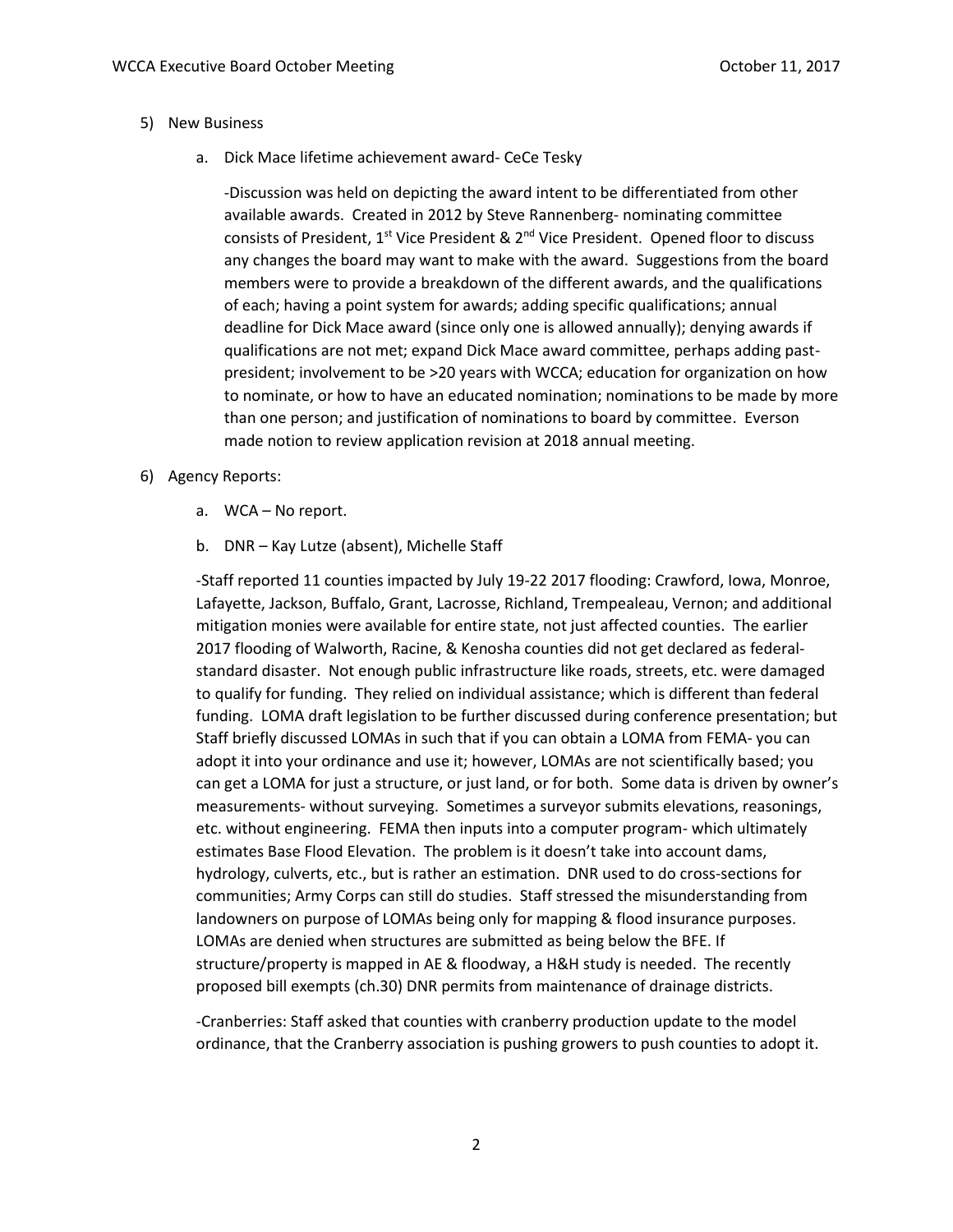## 5) New Business

a. Dick Mace lifetime achievement award- CeCe Tesky

-Discussion was held on depicting the award intent to be differentiated from other available awards. Created in 2012 by Steve Rannenberg- nominating committee consists of President,  $1^{st}$  Vice President &  $2^{nd}$  Vice President. Opened floor to discuss any changes the board may want to make with the award. Suggestions from the board members were to provide a breakdown of the different awards, and the qualifications of each; having a point system for awards; adding specific qualifications; annual deadline for Dick Mace award (since only one is allowed annually); denying awards if qualifications are not met; expand Dick Mace award committee, perhaps adding pastpresident; involvement to be >20 years with WCCA; education for organization on how to nominate, or how to have an educated nomination; nominations to be made by more than one person; and justification of nominations to board by committee. Everson made notion to review application revision at 2018 annual meeting.

- 6) Agency Reports:
	- a. WCA No report.
	- b. DNR Kay Lutze (absent), Michelle Staff

-Staff reported 11 counties impacted by July 19-22 2017 flooding: Crawford, Iowa, Monroe, Lafayette, Jackson, Buffalo, Grant, Lacrosse, Richland, Trempealeau, Vernon; and additional mitigation monies were available for entire state, not just affected counties. The earlier 2017 flooding of Walworth, Racine, & Kenosha counties did not get declared as federalstandard disaster. Not enough public infrastructure like roads, streets, etc. were damaged to qualify for funding. They relied on individual assistance; which is different than federal funding. LOMA draft legislation to be further discussed during conference presentation; but Staff briefly discussed LOMAs in such that if you can obtain a LOMA from FEMA- you can adopt it into your ordinance and use it; however, LOMAs are not scientifically based; you can get a LOMA for just a structure, or just land, or for both. Some data is driven by owner's measurements- without surveying. Sometimes a surveyor submits elevations, reasonings, etc. without engineering. FEMA then inputs into a computer program- which ultimately estimates Base Flood Elevation. The problem is it doesn't take into account dams, hydrology, culverts, etc., but is rather an estimation. DNR used to do cross-sections for communities; Army Corps can still do studies. Staff stressed the misunderstanding from landowners on purpose of LOMAs being only for mapping & flood insurance purposes. LOMAs are denied when structures are submitted as being below the BFE. If structure/property is mapped in AE & floodway, a H&H study is needed. The recently proposed bill exempts (ch.30) DNR permits from maintenance of drainage districts.

-Cranberries: Staff asked that counties with cranberry production update to the model ordinance, that the Cranberry association is pushing growers to push counties to adopt it.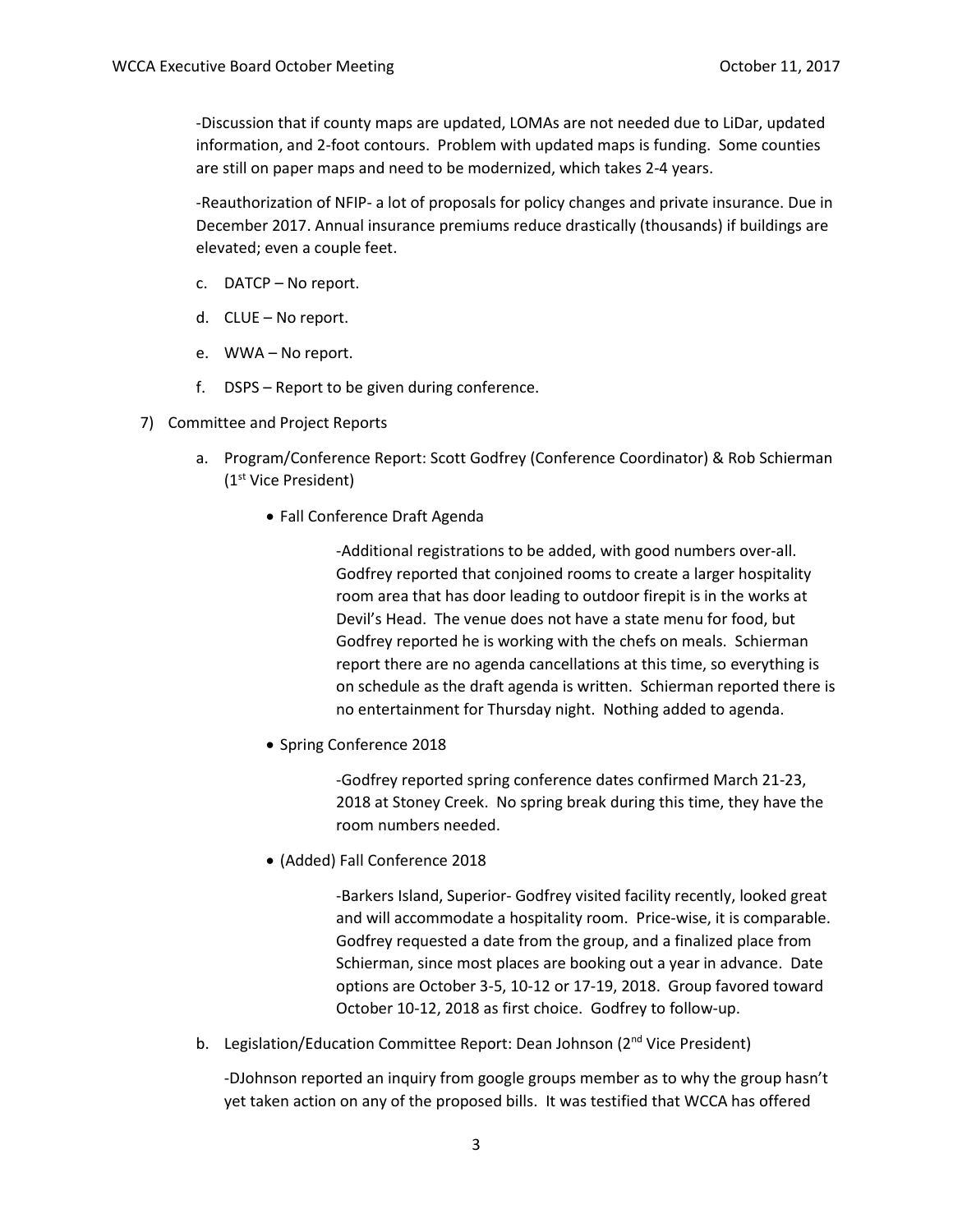-Discussion that if county maps are updated, LOMAs are not needed due to LiDar, updated information, and 2-foot contours. Problem with updated maps is funding. Some counties are still on paper maps and need to be modernized, which takes 2-4 years.

-Reauthorization of NFIP- a lot of proposals for policy changes and private insurance. Due in December 2017. Annual insurance premiums reduce drastically (thousands) if buildings are elevated; even a couple feet.

- c. DATCP No report.
- d. CLUE No report.
- e. WWA No report.
- f. DSPS Report to be given during conference.
- 7) Committee and Project Reports
	- a. Program/Conference Report: Scott Godfrey (Conference Coordinator) & Rob Schierman (1st Vice President)
		- Fall Conference Draft Agenda

-Additional registrations to be added, with good numbers over-all. Godfrey reported that conjoined rooms to create a larger hospitality room area that has door leading to outdoor firepit is in the works at Devil's Head. The venue does not have a state menu for food, but Godfrey reported he is working with the chefs on meals. Schierman report there are no agenda cancellations at this time, so everything is on schedule as the draft agenda is written. Schierman reported there is no entertainment for Thursday night. Nothing added to agenda.

• Spring Conference 2018

-Godfrey reported spring conference dates confirmed March 21-23, 2018 at Stoney Creek. No spring break during this time, they have the room numbers needed.

• (Added) Fall Conference 2018

-Barkers Island, Superior- Godfrey visited facility recently, looked great and will accommodate a hospitality room. Price-wise, it is comparable. Godfrey requested a date from the group, and a finalized place from Schierman, since most places are booking out a year in advance. Date options are October 3-5, 10-12 or 17-19, 2018. Group favored toward October 10-12, 2018 as first choice. Godfrey to follow-up.

b. Legislation/Education Committee Report: Dean Johnson (2<sup>nd</sup> Vice President)

-DJohnson reported an inquiry from google groups member as to why the group hasn't yet taken action on any of the proposed bills. It was testified that WCCA has offered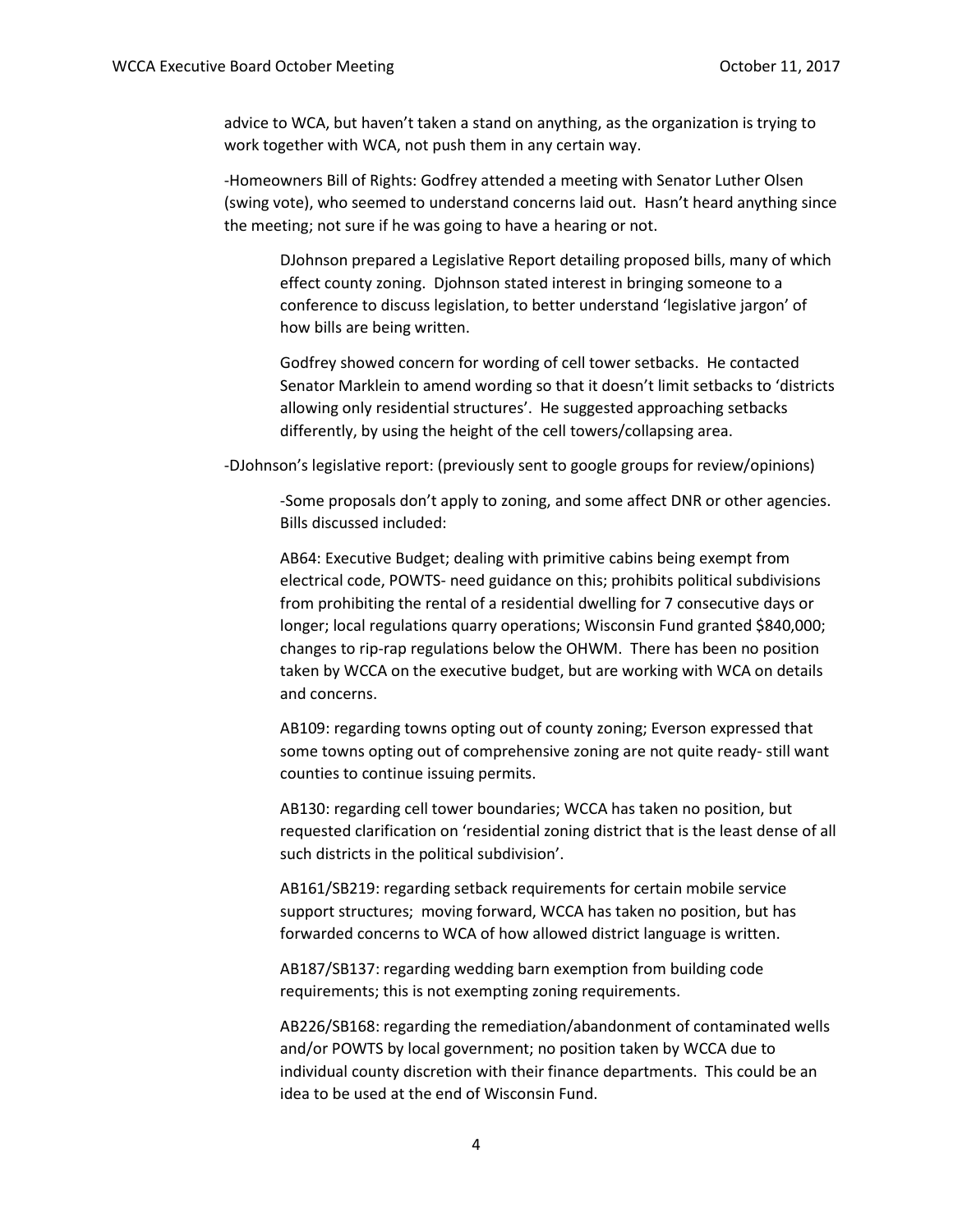advice to WCA, but haven't taken a stand on anything, as the organization is trying to work together with WCA, not push them in any certain way.

-Homeowners Bill of Rights: Godfrey attended a meeting with Senator Luther Olsen (swing vote), who seemed to understand concerns laid out. Hasn't heard anything since the meeting; not sure if he was going to have a hearing or not.

DJohnson prepared a Legislative Report detailing proposed bills, many of which effect county zoning. Djohnson stated interest in bringing someone to a conference to discuss legislation, to better understand 'legislative jargon' of how bills are being written.

Godfrey showed concern for wording of cell tower setbacks. He contacted Senator Marklein to amend wording so that it doesn't limit setbacks to 'districts allowing only residential structures'. He suggested approaching setbacks differently, by using the height of the cell towers/collapsing area.

-DJohnson's legislative report: (previously sent to google groups for review/opinions)

-Some proposals don't apply to zoning, and some affect DNR or other agencies. Bills discussed included:

AB64: Executive Budget; dealing with primitive cabins being exempt from electrical code, POWTS- need guidance on this; prohibits political subdivisions from prohibiting the rental of a residential dwelling for 7 consecutive days or longer; local regulations quarry operations; Wisconsin Fund granted \$840,000; changes to rip-rap regulations below the OHWM. There has been no position taken by WCCA on the executive budget, but are working with WCA on details and concerns.

AB109: regarding towns opting out of county zoning; Everson expressed that some towns opting out of comprehensive zoning are not quite ready- still want counties to continue issuing permits.

AB130: regarding cell tower boundaries; WCCA has taken no position, but requested clarification on 'residential zoning district that is the least dense of all such districts in the political subdivision'.

AB161/SB219: regarding setback requirements for certain mobile service support structures; moving forward, WCCA has taken no position, but has forwarded concerns to WCA of how allowed district language is written.

AB187/SB137: regarding wedding barn exemption from building code requirements; this is not exempting zoning requirements.

AB226/SB168: regarding the remediation/abandonment of contaminated wells and/or POWTS by local government; no position taken by WCCA due to individual county discretion with their finance departments. This could be an idea to be used at the end of Wisconsin Fund.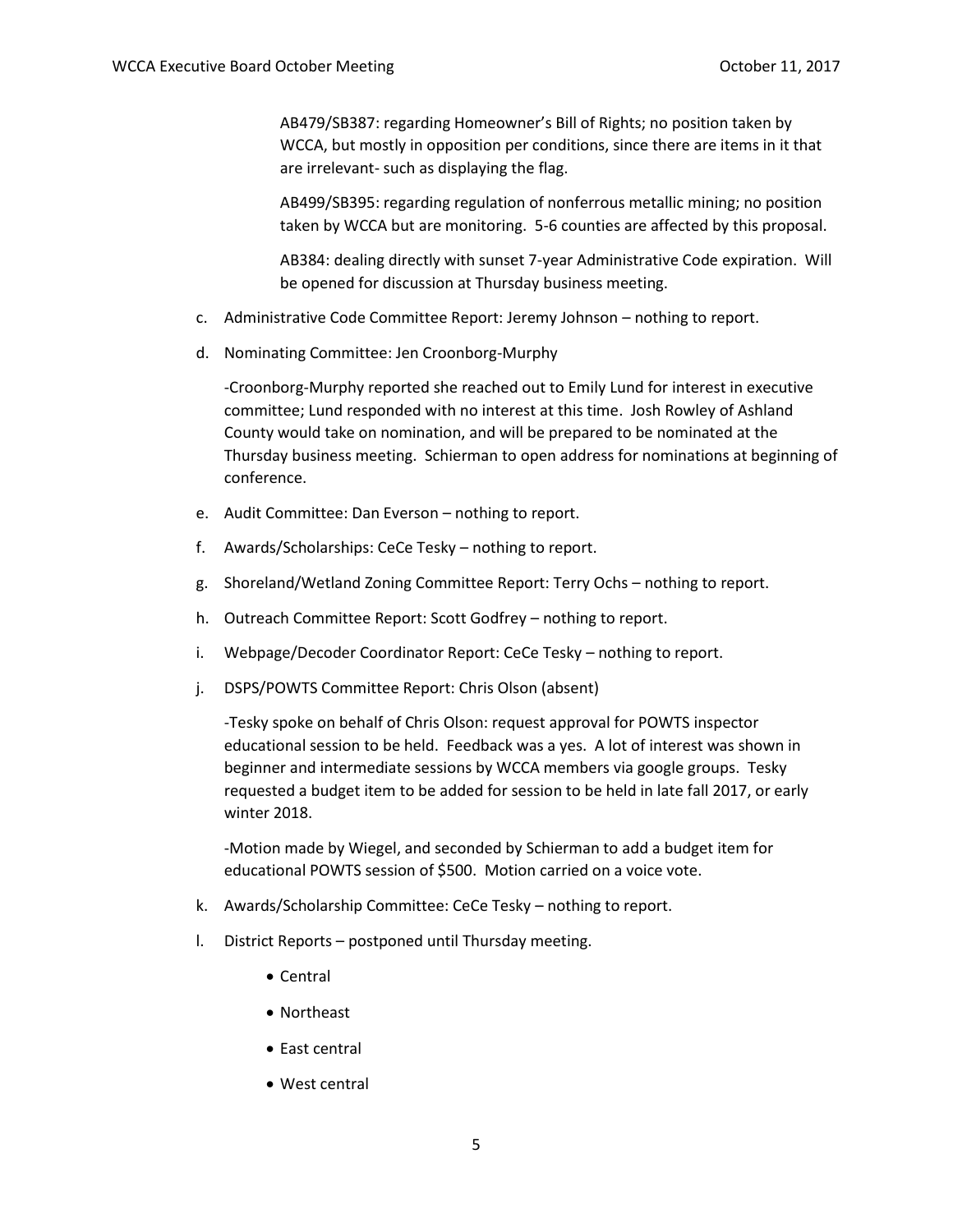AB479/SB387: regarding Homeowner's Bill of Rights; no position taken by WCCA, but mostly in opposition per conditions, since there are items in it that are irrelevant- such as displaying the flag.

AB499/SB395: regarding regulation of nonferrous metallic mining; no position taken by WCCA but are monitoring. 5-6 counties are affected by this proposal.

AB384: dealing directly with sunset 7-year Administrative Code expiration. Will be opened for discussion at Thursday business meeting.

- c. Administrative Code Committee Report: Jeremy Johnson nothing to report.
- d. Nominating Committee: Jen Croonborg-Murphy

-Croonborg-Murphy reported she reached out to Emily Lund for interest in executive committee; Lund responded with no interest at this time. Josh Rowley of Ashland County would take on nomination, and will be prepared to be nominated at the Thursday business meeting. Schierman to open address for nominations at beginning of conference.

- e. Audit Committee: Dan Everson nothing to report.
- f. Awards/Scholarships: CeCe Tesky nothing to report.
- g. Shoreland/Wetland Zoning Committee Report: Terry Ochs nothing to report.
- h. Outreach Committee Report: Scott Godfrey nothing to report.
- i. Webpage/Decoder Coordinator Report: CeCe Tesky nothing to report.
- j. DSPS/POWTS Committee Report: Chris Olson (absent)

-Tesky spoke on behalf of Chris Olson: request approval for POWTS inspector educational session to be held. Feedback was a yes. A lot of interest was shown in beginner and intermediate sessions by WCCA members via google groups. Tesky requested a budget item to be added for session to be held in late fall 2017, or early winter 2018.

-Motion made by Wiegel, and seconded by Schierman to add a budget item for educational POWTS session of \$500. Motion carried on a voice vote.

- k. Awards/Scholarship Committee: CeCe Tesky nothing to report.
- l. District Reports postponed until Thursday meeting.
	- Central
	- Northeast
	- East central
	- West central